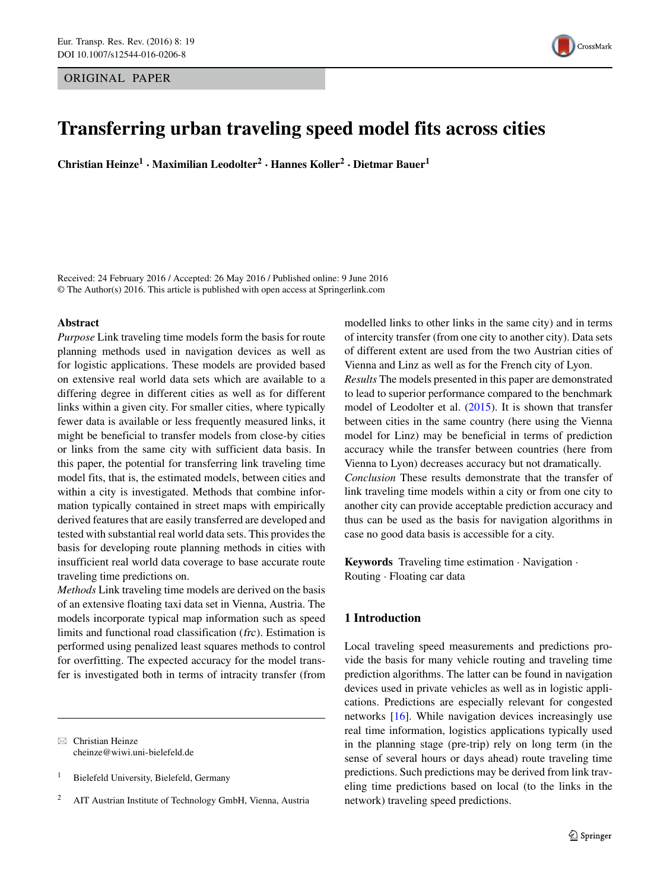ORIGINAL PAPER



# **Transferring urban traveling speed model fits across cities**

**Christian Heinze1 · Maximilian Leodolter<sup>2</sup> · Hannes Koller<sup>2</sup> · Dietmar Bauer1**

Received: 24 February 2016 / Accepted: 26 May 2016 / Published online: 9 June 2016 © The Author(s) 2016. This article is published with open access at Springerlink.com

## **Abstract**

*Purpose* Link traveling time models form the basis for route planning methods used in navigation devices as well as for logistic applications. These models are provided based on extensive real world data sets which are available to a differing degree in different cities as well as for different links within a given city. For smaller cities, where typically fewer data is available or less frequently measured links, it might be beneficial to transfer models from close-by cities or links from the same city with sufficient data basis. In this paper, the potential for transferring link traveling time model fits, that is, the estimated models, between cities and within a city is investigated. Methods that combine information typically contained in street maps with empirically derived features that are easily transferred are developed and tested with substantial real world data sets. This provides the basis for developing route planning methods in cities with insufficient real world data coverage to base accurate route traveling time predictions on.

*Methods* Link traveling time models are derived on the basis of an extensive floating taxi data set in Vienna, Austria. The models incorporate typical map information such as speed limits and functional road classification (frc). Estimation is performed using penalized least squares methods to control for overfitting. The expected accuracy for the model transfer is investigated both in terms of intracity transfer (from

 $\boxtimes$  Christian Heinze [cheinze@wiwi.uni-bielefeld.de](mailto:cheinze@wiwi.uni-bielefeld.de)

<sup>1</sup> Bielefeld University, Bielefeld, Germany

modelled links to other links in the same city) and in terms of intercity transfer (from one city to another city). Data sets of different extent are used from the two Austrian cities of Vienna and Linz as well as for the French city of Lyon. *Results* The models presented in this paper are demonstrated to lead to superior performance compared to the benchmark model of Leodolter et al. [\(2015\)](#page-11-0). It is shown that transfer between cities in the same country (here using the Vienna model for Linz) may be beneficial in terms of prediction accuracy while the transfer between countries (here from Vienna to Lyon) decreases accuracy but not dramatically. *Conclusion* These results demonstrate that the transfer of link traveling time models within a city or from one city to another city can provide acceptable prediction accuracy and thus can be used as the basis for navigation algorithms in case no good data basis is accessible for a city.

**Keywords** Traveling time estimation · Navigation · Routing · Floating car data

# **1 Introduction**

Local traveling speed measurements and predictions provide the basis for many vehicle routing and traveling time prediction algorithms. The latter can be found in navigation devices used in private vehicles as well as in logistic applications. Predictions are especially relevant for congested networks [\[16\]](#page-11-1). While navigation devices increasingly use real time information, logistics applications typically used in the planning stage (pre-trip) rely on long term (in the sense of several hours or days ahead) route traveling time predictions. Such predictions may be derived from link traveling time predictions based on local (to the links in the network) traveling speed predictions.

<sup>2</sup> AIT Austrian Institute of Technology GmbH, Vienna, Austria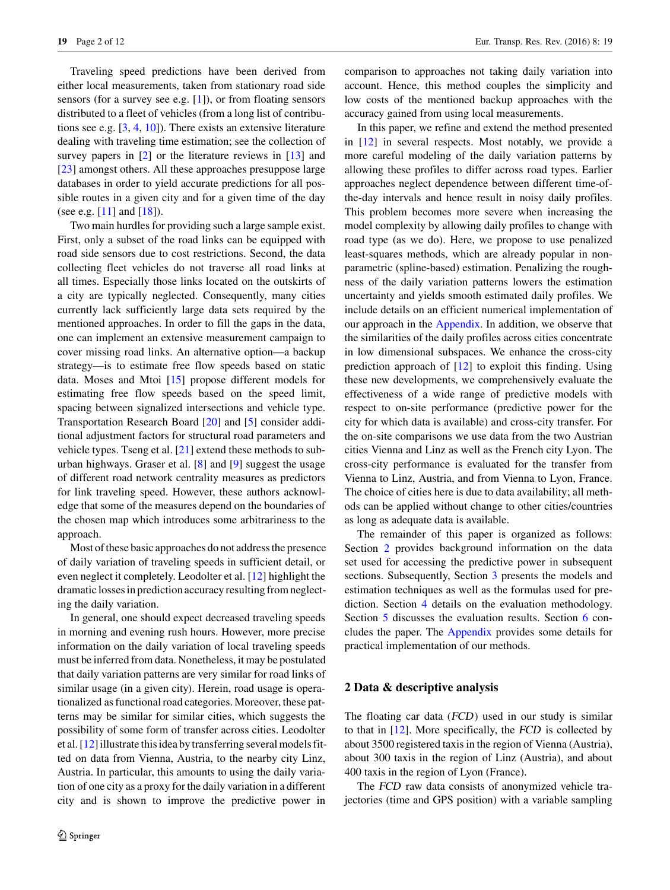Traveling speed predictions have been derived from either local measurements, taken from stationary road side sensors (for a survey see e.g. [\[1\]](#page-10-0)), or from floating sensors distributed to a fleet of vehicles (from a long list of contributions see e.g. [\[3,](#page-10-1) [4,](#page-10-2) [10\]](#page-10-3)). There exists an extensive literature dealing with traveling time estimation; see the collection of survey papers in  $\lceil 2 \rceil$  or the literature reviews in  $\lceil 13 \rceil$  and [\[23\]](#page-11-3) amongst others. All these approaches presuppose large databases in order to yield accurate predictions for all possible routes in a given city and for a given time of the day (see e.g. [\[11\]](#page-10-5) and [\[18\]](#page-11-4)).

Two main hurdles for providing such a large sample exist. First, only a subset of the road links can be equipped with road side sensors due to cost restrictions. Second, the data collecting fleet vehicles do not traverse all road links at all times. Especially those links located on the outskirts of a city are typically neglected. Consequently, many cities currently lack sufficiently large data sets required by the mentioned approaches. In order to fill the gaps in the data, one can implement an extensive measurement campaign to cover missing road links. An alternative option—a backup strategy—is to estimate free flow speeds based on static data. Moses and Mtoi [\[15\]](#page-11-5) propose different models for estimating free flow speeds based on the speed limit, spacing between signalized intersections and vehicle type. Transportation Research Board [\[20\]](#page-11-6) and [\[5\]](#page-10-6) consider additional adjustment factors for structural road parameters and vehicle types. Tseng et al. [\[21\]](#page-11-7) extend these methods to suburban highways. Graser et al. [\[8\]](#page-10-7) and [\[9\]](#page-10-8) suggest the usage of different road network centrality measures as predictors for link traveling speed. However, these authors acknowledge that some of the measures depend on the boundaries of the chosen map which introduces some arbitrariness to the approach.

Most of these basic approaches do not address the presence of daily variation of traveling speeds in sufficient detail, or even neglect it completely. Leodolter et al. [\[12\]](#page-11-8) highlight the dramatic losses in prediction accuracy resulting from neglecting the daily variation.

In general, one should expect decreased traveling speeds in morning and evening rush hours. However, more precise information on the daily variation of local traveling speeds must be inferred from data. Nonetheless, it may be postulated that daily variation patterns are very similar for road links of similar usage (in a given city). Herein, road usage is operationalized as functional road categories. Moreover, these patterns may be similar for similar cities, which suggests the possibility of some form of transfer across cities. Leodolter et al. [\[12\]](#page-11-8) illustrate this idea by transferring several models fitted on data from Vienna, Austria, to the nearby city Linz, Austria. In particular, this amounts to using the daily variation of one city as a proxy for the daily variation in a different city and is shown to improve the predictive power in comparison to approaches not taking daily variation into account. Hence, this method couples the simplicity and low costs of the mentioned backup approaches with the accuracy gained from using local measurements.

In this paper, we refine and extend the method presented in [\[12\]](#page-11-8) in several respects. Most notably, we provide a more careful modeling of the daily variation patterns by allowing these profiles to differ across road types. Earlier approaches neglect dependence between different time-ofthe-day intervals and hence result in noisy daily profiles. This problem becomes more severe when increasing the model complexity by allowing daily profiles to change with road type (as we do). Here, we propose to use penalized least-squares methods, which are already popular in nonparametric (spline-based) estimation. Penalizing the roughness of the daily variation patterns lowers the estimation uncertainty and yields smooth estimated daily profiles. We include details on an efficient numerical implementation of our approach in the [Appendix.](#page-9-0) In addition, we observe that the similarities of the daily profiles across cities concentrate in low dimensional subspaces. We enhance the cross-city prediction approach of [\[12\]](#page-11-8) to exploit this finding. Using these new developments, we comprehensively evaluate the effectiveness of a wide range of predictive models with respect to on-site performance (predictive power for the city for which data is available) and cross-city transfer. For the on-site comparisons we use data from the two Austrian cities Vienna and Linz as well as the French city Lyon. The cross-city performance is evaluated for the transfer from Vienna to Linz, Austria, and from Vienna to Lyon, France. The choice of cities here is due to data availability; all methods can be applied without change to other cities/countries as long as adequate data is available.

The remainder of this paper is organized as follows: Section [2](#page-1-0) provides background information on the data set used for accessing the predictive power in subsequent sections. Subsequently, Section [3](#page-4-0) presents the models and estimation techniques as well as the formulas used for prediction. Section [4](#page-4-1) details on the evaluation methodology. Section [5](#page-6-0) discusses the evaluation results. Section [6](#page-8-0) concludes the paper. The [Appendix](#page-9-0) provides some details for practical implementation of our methods.

### <span id="page-1-0"></span>**2 Data & descriptive analysis**

The floating car data (FCD) used in our study is similar to that in [\[12\]](#page-11-8). More specifically, the FCD is collected by about 3500 registered taxis in the region of Vienna (Austria), about 300 taxis in the region of Linz (Austria), and about 400 taxis in the region of Lyon (France).

The FCD raw data consists of anonymized vehicle trajectories (time and GPS position) with a variable sampling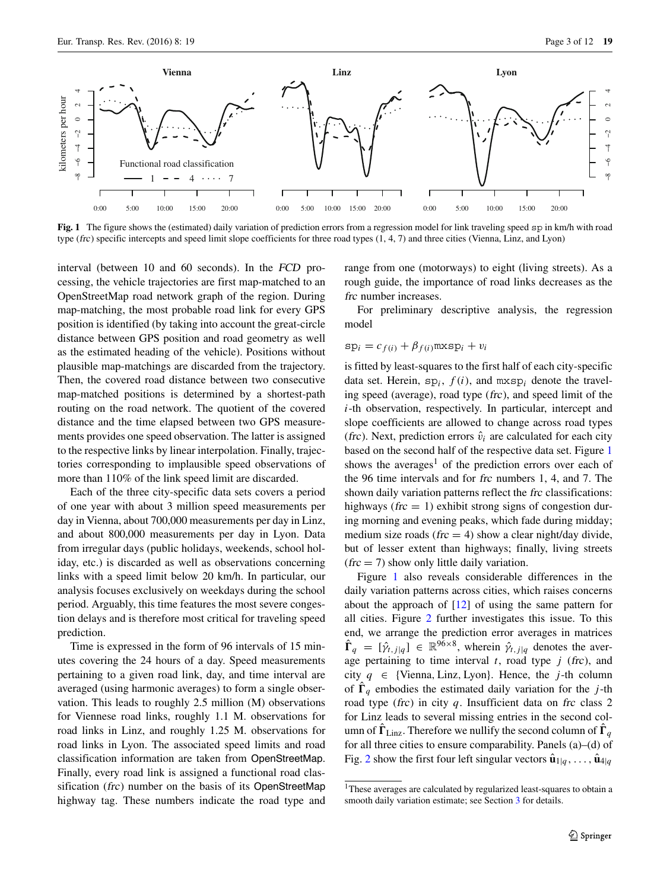<span id="page-2-0"></span>

**Fig. 1** The figure shows the (estimated) daily variation of prediction errors from a regression model for link traveling speed sp in km/h with road type (frc) specific intercepts and speed limit slope coefficients for three road types (1, 4, 7) and three cities (Vienna, Linz, and Lyon)

interval (between 10 and 60 seconds). In the FCD processing, the vehicle trajectories are first map-matched to an OpenStreetMap road network graph of the region. During map-matching, the most probable road link for every GPS position is identified (by taking into account the great-circle distance between GPS position and road geometry as well as the estimated heading of the vehicle). Positions without plausible map-matchings are discarded from the trajectory. Then, the covered road distance between two consecutive map-matched positions is determined by a shortest-path routing on the road network. The quotient of the covered distance and the time elapsed between two GPS measurements provides one speed observation. The latter is assigned to the respective links by linear interpolation. Finally, trajectories corresponding to implausible speed observations of more than 110% of the link speed limit are discarded.

Each of the three city-specific data sets covers a period of one year with about 3 million speed measurements per day in Vienna, about 700,000 measurements per day in Linz, and about 800,000 measurements per day in Lyon. Data from irregular days (public holidays, weekends, school holiday, etc.) is discarded as well as observations concerning links with a speed limit below 20 km/h. In particular, our analysis focuses exclusively on weekdays during the school period. Arguably, this time features the most severe congestion delays and is therefore most critical for traveling speed prediction.

Time is expressed in the form of 96 intervals of 15 minutes covering the 24 hours of a day. Speed measurements pertaining to a given road link, day, and time interval are averaged (using harmonic averages) to form a single observation. This leads to roughly 2.5 million (M) observations for Viennese road links, roughly 1.1 M. observations for road links in Linz, and roughly 1.25 M. observations for road links in Lyon. The associated speed limits and road classification information are taken from OpenStreetMap. Finally, every road link is assigned a functional road classification (frc) number on the basis of its OpenStreetMap highway tag. These numbers indicate the road type and range from one (motorways) to eight (living streets). As a rough guide, the importance of road links decreases as the frc number increases.

For preliminary descriptive analysis, the regression model

$$
sp_i = c_{f(i)} + \beta_{f(i)} \max sp_i + v_i
$$

is fitted by least-squares to the first half of each city-specific data set. Herein,  $sp_i$ ,  $f(i)$ , and  $m \times sp_i$  denote the traveling speed (average), road type (frc), and speed limit of the *i*-th observation, respectively. In particular, intercept and slope coefficients are allowed to change across road types (frc). Next, prediction errors  $\hat{v}_i$  are calculated for each city based on the second half of the respective data set. Figure [1](#page-2-0) shows the averages<sup>[1](#page-2-1)</sup> of the prediction errors over each of the 96 time intervals and for frc numbers 1, 4, and 7. The shown daily variation patterns reflect the frc classifications: highways ( $\text{frc} = 1$ ) exhibit strong signs of congestion during morning and evening peaks, which fade during midday; medium size roads ( $\text{frc} = 4$ ) show a clear night/day divide, but of lesser extent than highways; finally, living streets  $(frc = 7)$  show only little daily variation.

Figure [1](#page-2-0) also reveals considerable differences in the daily variation patterns across cities, which raises concerns about the approach of [\[12\]](#page-11-8) of using the same pattern for all cities. Figure [2](#page-3-0) further investigates this issue. To this end, we arrange the prediction error averages in matrices  $\hat{\Gamma}_q = [\hat{\gamma}_{t,j|q}] \in \mathbb{R}^{96 \times 8}$ , wherein  $\hat{\gamma}_{t,j|q}$  denotes the average pertaining to time interval  $t$ , road type  $j$  (frc), and city  $q \in \{ \text{Vienna}, \text{Linz}, \text{Lyon} \}$ . Hence, the *j*-th column of  $\Gamma_q$  embodies the estimated daily variation for the *j*-th road type (frc) in city *q*. Insufficient data on frc class 2 for Linz leads to several missing entries in the second column of  $\mathbf{\Gamma}_{\text{Linz}}$ . Therefore we nullify the second column of  $\mathbf{\Gamma}_q$ for all three cities to ensure comparability. Panels (a)–(d) of Fig. [2](#page-3-0) show the first four left singular vectors  $\hat{\mathbf{u}}_{1|q}, \ldots, \hat{\mathbf{u}}_{4|q}$ 

<span id="page-2-1"></span><sup>&</sup>lt;sup>1</sup>These averages are calculated by regularized least-squares to obtain a smooth daily variation estimate; see Section [3](#page-4-0) for details.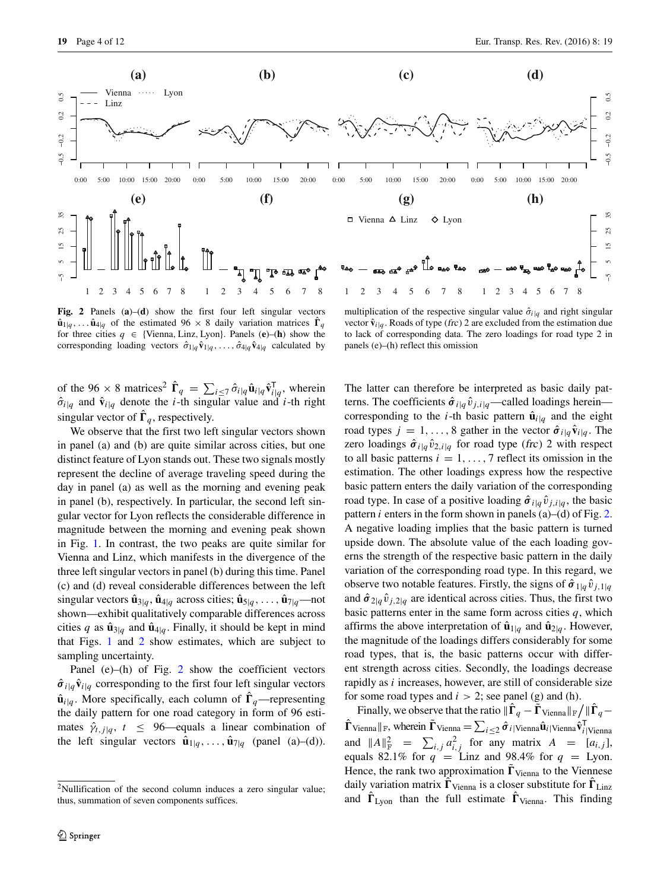<span id="page-3-0"></span>

**Fig. 2** Panels (**a**)–(**d**) show the first four left singular vectors  $\hat{\mathbf{u}}_{1|q}$ ,...  $\hat{\mathbf{u}}_{4|q}$  of the estimated 96 × 8 daily variation matrices  $\mathbf{\Gamma}_q$ for three cities  $q \in \{ \text{Vienna}, \text{Linz}, \text{Lyon} \}$ . Panels  $(\mathbf{e})$ – $(\mathbf{h})$  show the corresponding loading vectors  $\hat{\sigma}_{1|q} \hat{\mathbf{v}}_{1|q}, \dots, \hat{\sigma}_{4|q} \hat{\mathbf{v}}_{4|q}$  calculated by

of the 96  $\times$  8 matrices<sup>2</sup>  $\hat{\mathbf{\Gamma}}_q = \sum_{i \leq 7} \hat{\sigma}_{i|q} \hat{\mathbf{u}}_{i|q} \hat{\mathbf{v}}_{i|q}^{\mathsf{T}},$  wherein  $\hat{\sigma}_{i|q}$  and  $\hat{\mathbf{v}}_{i|q}$  denote the *i*-th singular value and *i*-th right singular vector of  $\Gamma_q$ , respectively.

We observe that the first two left singular vectors shown in panel (a) and (b) are quite similar across cities, but one distinct feature of Lyon stands out. These two signals mostly represent the decline of average traveling speed during the day in panel (a) as well as the morning and evening peak in panel (b), respectively. In particular, the second left singular vector for Lyon reflects the considerable difference in magnitude between the morning and evening peak shown in Fig. [1.](#page-2-0) In contrast, the two peaks are quite similar for Vienna and Linz, which manifests in the divergence of the three left singular vectors in panel (b) during this time. Panel (c) and (d) reveal considerable differences between the left singular vectors  $\hat{\mathbf{u}}_{3|q}$ ,  $\hat{\mathbf{u}}_{4|q}$  across cities;  $\hat{\mathbf{u}}_{5|q}$ , ...,  $\hat{\mathbf{u}}_{7|q}$ —not shown—exhibit qualitatively comparable differences across cities *q* as  $\hat{\mathbf{u}}_{3|q}$  and  $\hat{\mathbf{u}}_{4|q}$ . Finally, it should be kept in mind that Figs. [1](#page-2-0) and [2](#page-3-0) show estimates, which are subject to sampling uncertainty.

Panel (e)–(h) of Fig.  $2$  show the coefficient vectors  $\hat{\sigma}_{i|q} \hat{v}_{i|q}$  corresponding to the first four left singular vectors  $\hat{\mathbf{u}}_{i|q}$ . More specifically, each column of  $\Gamma_q$ —representing the daily pattern for one road category in form of 96 estimates  $\hat{\gamma}_{t,j|q}$ ,  $t \leq 96$ —equals a linear combination of the left singular vectors  $\hat{\mathbf{u}}_{1|q}, \ldots, \hat{\mathbf{u}}_{7|q}$  (panel (a)–(d)).

multiplication of the respective singular value  $\hat{\sigma}_{i|q}$  and right singular vector  $\hat{\mathbf{v}}_{i|q}$ . Roads of type (frc) 2 are excluded from the estimation due to lack of corresponding data. The zero loadings for road type 2 in panels (e)–(h) reflect this omission

The latter can therefore be interpreted as basic daily patterns. The coefficients  $\hat{\sigma}_{i|q} \hat{v}_{j,i|q}$ —called loadings herein corresponding to the *i*-th basic pattern  $\hat{\mathbf{u}}_{i|q}$  and the eight road types  $j = 1, ..., 8$  gather in the vector  $\hat{\sigma}_{i|q} \hat{v}_{i|q}$ . The zero loadings  $\hat{\sigma}_{i|q} \hat{v}_{2,i|q}$  for road type (frc) 2 with respect to all basic patterns  $i = 1, \ldots, 7$  reflect its omission in the estimation. The other loadings express how the respective basic pattern enters the daily variation of the corresponding road type. In case of a positive loading  $\hat{\sigma}_{i|q} \hat{v}_{j,i|q}$ , the basic pattern *i* enters in the form shown in panels (a)–(d) of Fig. [2.](#page-3-0) A negative loading implies that the basic pattern is turned upside down. The absolute value of the each loading governs the strength of the respective basic pattern in the daily variation of the corresponding road type. In this regard, we observe two notable features. Firstly, the signs of  $\hat{\sigma}_{1|q} \hat{v}_{i,1|q}$ and  $\hat{\sigma}_{2|q} \hat{v}_{j,2|q}$  are identical across cities. Thus, the first two basic patterns enter in the same form across cities  $q$ , which affirms the above interpretation of  $\hat{\mathbf{u}}_{1|q}$  and  $\hat{\mathbf{u}}_{2|q}$ . However, the magnitude of the loadings differs considerably for some road types, that is, the basic patterns occur with different strength across cities. Secondly, the loadings decrease rapidly as *i* increases, however, are still of considerable size for some road types and  $i > 2$ ; see panel (g) and (h).

Finally, we observe that the ratio  $\|\mathbf{\Gamma}_q - \mathbf{\Gamma}_{\text{Vienna}}\|_{\text{F}} / \|\mathbf{\Gamma}_q \hat{\mathbf{\Gamma}}$ <sub>Vienna</sub>  $\|\mathbf{F}_{\mathbf{y}}\|$ , wherein  $\tilde{\mathbf{\Gamma}}$  Vienna  $\hat{\mathbf{v}}$ <sub>*i*</sub> | Vienna**v**<sup>*i*</sup><sub>*i*</sub> | Vienna<sup> $\hat{\mathbf{v}}$ <sub>*i*</sub> | Vienna</sub></sup> and  $||A||_F^2 = \sum_{i,j} a_{i,j}^2$  for any matrix  $A = [a_{i,j}],$ equals 82.1% for  $q =$ Linz and 98.4% for  $q =$ Lyon. Hence, the rank two approximation  $\Gamma_{\text{Vienna}}$  to the Viennese daily variation matrix  $\mathbf{\Gamma}_{\text{Vienna}}$  is a closer substitute for  $\mathbf{\Gamma}_{\text{Linz}}$ and  $\mathbf{r}_{\text{Lyon}}$  than the full estimate  $\mathbf{r}_{\text{Vienna}}$ . This finding

<span id="page-3-1"></span><sup>&</sup>lt;sup>2</sup>Nullification of the second column induces a zero singular value; thus, summation of seven components suffices.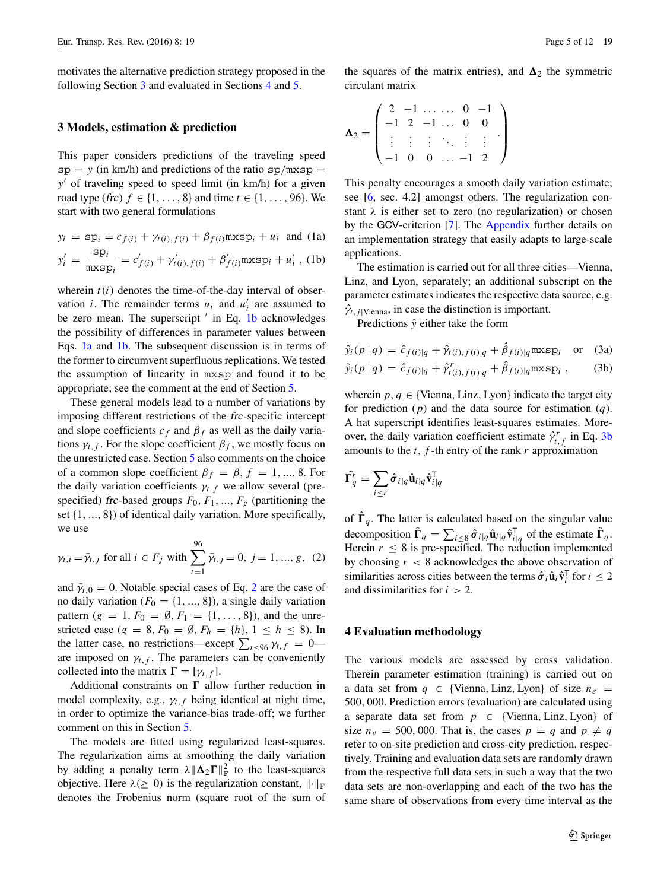motivates the alternative prediction strategy proposed in the following Section [3](#page-4-0) and evaluated in Sections [4](#page-4-1) and [5.](#page-6-0)

## <span id="page-4-0"></span>**3 Models, estimation & prediction**

This paper considers predictions of the traveling speed  $sp = y$  (in km/h) and predictions of the ratio  $sp/mxsp =$ *y* of traveling speed to speed limit (in km/h) for a given road type (*frc*) *f* ∈ {1, ..., 8} and time  $t$  ∈ {1, ..., 96}. We start with two general formulations

<span id="page-4-2"></span>
$$
y_i = \text{sp}_i = c_{f(i)} + \gamma_{t(i), f(i)} + \beta_{f(i)} \text{mxsp}_i + u_i \text{ and } (1a)
$$

$$
y'_{i} = \frac{\text{sp}_{i}}{\text{mxsp}_{i}} = c'_{f(i)} + \gamma'_{t(i), f(i)} + \beta'_{f(i)} \text{mxsp}_{i} + u'_{i} \text{ , (1b)}
$$

wherein  $t(i)$  denotes the time-of-the-day interval of observation *i*. The remainder terms  $u_i$  and  $u'_i$  are assumed to be zero mean. The superscript  $'$  in Eq. [1b](#page-4-2) acknowledges the possibility of differences in parameter values between Eqs. [1a](#page-4-2) and [1b.](#page-4-2) The subsequent discussion is in terms of the former to circumvent superfluous replications. We tested the assumption of linearity in mxsp and found it to be appropriate; see the comment at the end of Section [5.](#page-6-0)

These general models lead to a number of variations by imposing different restrictions of the frc-specific intercept and slope coefficients  $c_f$  and  $\beta_f$  as well as the daily variations  $\gamma_{t,f}$ . For the slope coefficient  $\beta_f$ , we mostly focus on the unrestricted case. Section [5](#page-6-0) also comments on the choice of a common slope coefficient  $\beta_f = \beta$ ,  $f = 1, ..., 8$ . For the daily variation coefficients  $\gamma_{t,f}$  we allow several (prespecified) frc-based groups  $F_0, F_1, ..., F_g$  (partitioning the set {1*, ...,* 8}) of identical daily variation. More specifically, we use

<span id="page-4-3"></span>
$$
\gamma_{t,i} = \bar{\gamma}_{t,j}
$$
 for all  $i \in F_j$  with  $\sum_{t=1}^{96} \bar{\gamma}_{t,j} = 0, j = 1, ..., g$ , (2)

and  $\bar{\gamma}_{t,0} = 0$ . Notable special cases of Eq. [2](#page-4-3) are the case of no daily variation  $(F_0 = \{1, ..., 8\})$ , a single daily variation pattern ( $g = 1, F_0 = \emptyset, F_1 = \{1, \ldots, 8\}$ ), and the unrestricted case ( $g = 8$ ,  $F_0 = \emptyset$ ,  $F_h = \{h\}$ ,  $1 \le h \le 8$ ). In the latter case, no restrictions—except  $\sum_{t \le 96} \gamma_{t,f} = 0$  are imposed on  $\gamma_{t,f}$ . The parameters can be conveniently collected into the matrix  $\mathbf{\Gamma} = [\gamma_{t,f}].$ 

Additional constraints on  $\Gamma$  allow further reduction in model complexity, e.g.,  $\gamma_{t,f}$  being identical at night time, in order to optimize the variance-bias trade-off; we further comment on this in Section [5.](#page-6-0)

The models are fitted using regularized least-squares. The regularization aims at smoothing the daily variation by adding a penalty term  $\lambda \|\mathbf{\Delta}_2 \mathbf{\Gamma}\|_{\text{F}}^2$  to the least-squares objective. Here  $\lambda (\geq 0)$  is the regularization constant,  $\|\cdot\|_{\mathbb{F}}$ denotes the Frobenius norm (square root of the sum of the squares of the matrix entries), and  $\Delta_2$  the symmetric circulant matrix

$$
\mathbf{\Delta}_2 = \begin{pmatrix} 2 & -1 & \dots & \dots & 0 & -1 \\ -1 & 2 & -1 & \dots & 0 & 0 \\ \vdots & \vdots & \vdots & \ddots & \vdots & \vdots \\ -1 & 0 & 0 & \dots & -1 & 2 \end{pmatrix}
$$

This penalty encourages a smooth daily variation estimate; see [\[6,](#page-10-9) sec. 4.2] amongst others. The regularization constant *λ* is either set to zero (no regularization) or chosen by the GCV-criterion [\[7\]](#page-10-10). The [Appendix](#page-9-0) further details on an implementation strategy that easily adapts to large-scale applications.

The estimation is carried out for all three cities—Vienna, Linz, and Lyon, separately; an additional subscript on the parameter estimates indicates the respective data source, e.g.  $\hat{\gamma}_{t,j}$  |Vienna, in case the distinction is important.

Predictions  $\hat{y}$  either take the form

$$
\hat{y}_i(p \mid q) = \hat{c}_{f(i)|q} + \hat{\gamma}_{t(i),f(i)|q} + \hat{\beta}_{f(i)|q} \max \{p_i \text{ or } (3a)
$$

$$
\hat{y}_i(p \mid q) = \hat{c}_{f(i)|q} + \hat{y}_{t(i), f(i)|q}^r + \hat{\beta}_{f(i)|q} \max \{ \mathbf{p}_i , \qquad (3b)
$$

wherein  $p, q \in \{$ Vienna, Linz, Lyon $\}$  indicate the target city for prediction (*p*) and the data source for estimation (*q*). A hat superscript identifies least-squares estimates. Moreover, the daily variation coefficient estimate  $\hat{\gamma}^r_{t,f}$  in Eq. [3b](#page-4-2) amounts to the  $t$ ,  $f$ -th entry of the rank  $r$  approximation

$$
\tilde{\Gamma_q^r} = \sum_{i \leq r} \hat{\sigma}_{i|q} \hat{\mathbf{u}}_{i|q} \hat{\mathbf{v}}_{i|q}^{\mathsf{T}}
$$

of  $\Gamma_q$ . The latter is calculated based on the singular value decomposition  $\hat{\mathbf{\Gamma}}_q = \sum_{i \leq 8} \hat{\sigma}_{i|q} \hat{\mathbf{u}}_{i|q} \hat{\mathbf{v}}_{i|q}^{\mathsf{T}}$  of the estimate  $\hat{\mathbf{\Gamma}}_q$ . Herein  $r \leq 8$  is pre-specified. The reduction implemented by choosing *r <* 8 acknowledges the above observation of similarities across cities between the terms  $\hat{\sigma}_i \hat{\mathbf{u}}_i \hat{\mathbf{v}}_i^{\mathsf{T}}$  for  $i \leq 2$ and dissimilarities for *i >* 2.

## <span id="page-4-1"></span>**4 Evaluation methodology**

The various models are assessed by cross validation. Therein parameter estimation (training) is carried out on a data set from  $q \in \{ \text{Vienna}, \text{Linz}, \text{Lyon} \}$  of size  $n_e$ 500*,* 000. Prediction errors (evaluation) are calculated using a separate data set from  $p \in \{ \text{Vienna}, \text{Linz}, \text{Lyon} \}$  of size  $n_v = 500,000$ . That is, the cases  $p = q$  and  $p \neq q$ refer to on-site prediction and cross-city prediction, respectively. Training and evaluation data sets are randomly drawn from the respective full data sets in such a way that the two data sets are non-overlapping and each of the two has the same share of observations from every time interval as the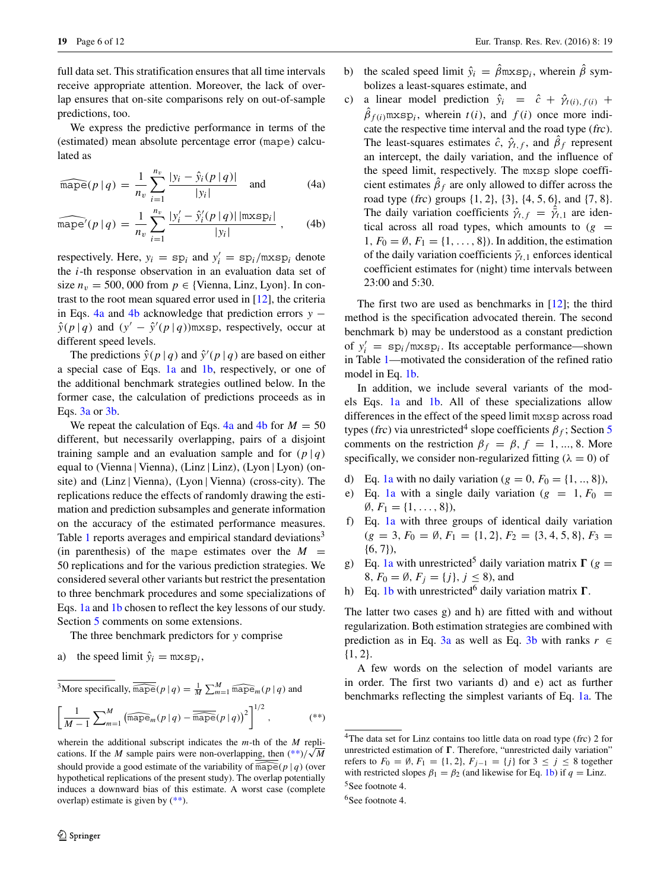full data set. This stratification ensures that all time intervals receive appropriate attention. Moreover, the lack of overlap ensures that on-site comparisons rely on out-of-sample predictions, too.

We express the predictive performance in terms of the (estimated) mean absolute percentage error (mape) calculated as

<span id="page-5-0"></span>
$$
\widehat{\text{mape}}(p \mid q) = \frac{1}{n_v} \sum_{i=1}^{n_v} \frac{|y_i - \hat{y}_i(p \mid q)|}{|y_i|} \quad \text{and} \tag{4a}
$$

$$
\widehat{\text{mape}}'(p \mid q) = \frac{1}{n_v} \sum_{i=1}^{n_v} \frac{|y_i' - \hat{y}_i'(p \mid q)| |\text{maxsp}_i|}{|y_i|}, \qquad (4b)
$$

respectively. Here,  $y_i = sp_i$  and  $y'_i = sp_i/mxsp_i$  denote the *i*-th response observation in an evaluation data set of size  $n_v = 500,000$  from  $p \in \{$ Vienna, Linz, Lyon $\}$ . In contrast to the root mean squared error used in [\[12\]](#page-11-8), the criteria in Eqs. [4a](#page-5-0) and [4b](#page-5-0) acknowledge that prediction errors *y* −  $\hat{y}(p | q)$  and  $(y' - \hat{y}'(p | q))$ mxsp, respectively, occur at different speed levels.

The predictions  $\hat{y}(p | q)$  and  $\hat{y}'(p | q)$  are based on either a special case of Eqs. [1a](#page-4-2) and [1b,](#page-4-2) respectively, or one of the additional benchmark strategies outlined below. In the former case, the calculation of predictions proceeds as in Eqs. [3a](#page-4-2) or [3b.](#page-4-2)

We repeat the calculation of Eqs.  $4a$  and  $4b$  for  $M = 50$ different, but necessarily overlapping, pairs of a disjoint training sample and an evaluation sample and for  $(p | q)$ equal to *(*Vienna | Vienna*)*, *(*Linz | Linz*)*, *(*Lyon | Lyon*)* (onsite) and *(*Linz | Vienna*)*, *(*Lyon | Vienna*)* (cross-city). The replications reduce the effects of randomly drawing the estimation and prediction subsamples and generate information on the accuracy of the estimated performance measures. Table [1](#page-6-1) reports averages and empirical standard deviations<sup>3</sup> (in parenthesis) of the mape estimates over the  $M =$ 50 replications and for the various prediction strategies. We considered several other variants but restrict the presentation to three benchmark procedures and some specializations of Eqs. [1a](#page-4-2) and [1b](#page-4-2) chosen to reflect the key lessons of our study. Section [5](#page-6-0) comments on some extensions.

The three benchmark predictors for *y* comprise

a) the speed limit  $\hat{y}_i = \text{mxsp}_i$ ,

<sup>3</sup>More specifically, 
$$
\overline{\widehat{\text{mape}}}(p | q) = \frac{1}{M} \sum_{m=1}^{M} \widehat{\text{mape}}_m(p | q)
$$
 and

<span id="page-5-1"></span>
$$
\left[\frac{1}{M-1}\sum_{m=1}^{M}\left(\widehat{\text{mape}}_m(p|q)-\widehat{\overline{\text{mape}}}(p|q)\right)^2\right]^{1/2},\qquad\qquad(**)
$$

wherein the additional subscript indicates the *m*-th of the *M* replications. If the *M* sample pairs were non-overlapping, then  $(**)/\sqrt{M}$  $(**)/\sqrt{M}$ should provide a good estimate of the variability of  $\widehat{\text{mape}}(p | q)$  (over hypothetical replications of the present study). The overlap potentially induces a downward bias of this estimate. A worst case (complete overlap) estimate is given by  $(**)$ .

- b) the scaled speed limit  $\hat{y}_i = \hat{\beta}$ mxsp<sub>i</sub>, wherein  $\hat{\beta}$  symbolizes a least-squares estimate, and
- c) a linear model prediction  $\hat{y}_i = \hat{c} + \hat{\gamma}_{t(i),f(i)} +$  $\beta_{f(i)}$ mxsp<sub>i</sub>, wherein *t*(*i*), and *f*(*i*) once more indicate the respective time interval and the road type (frc). The least-squares estimates  $\hat{c}$ ,  $\hat{\gamma}_{t,f}$ , and  $\hat{\beta}_f$  represent an intercept, the daily variation, and the influence of the speed limit, respectively. The mxsp slope coefficient estimates  $\beta_f$  are only allowed to differ across the road type (frc) groups {1*,* 2}, {3}, {4*,* 5*,* 6}, and {7*,* 8}. The daily variation coefficients  $\hat{\gamma}_{t,f} = \vec{\gamma}_{t,1}$  are identical across all road types, which amounts to  $(g =$ 1*, F*<sub>0</sub> =  $\emptyset$ *, F*<sub>1</sub> = {1*,...,* 8}*)*. In addition, the estimation of the daily variation coefficients  $\bar{\gamma}_{t,1}$  enforces identical coefficient estimates for (night) time intervals between 23:00 and 5:30.

The first two are used as benchmarks in [\[12\]](#page-11-8); the third method is the specification advocated therein. The second benchmark b) may be understood as a constant prediction of  $y'_i = \text{sp}_i/\text{mxsp}_i$ . Its acceptable performance—shown in Table [1—](#page-6-1)motivated the consideration of the refined ratio model in Eq. [1b.](#page-4-2)

In addition, we include several variants of the models Eqs. [1a](#page-4-2) and [1b.](#page-4-2) All of these specializations allow differences in the effect of the speed limit mxsp across road types (frc) via unrestricted<sup>[4](#page-5-2)</sup> slope coefficients  $\beta_f$ ; Section [5](#page-6-0) comments on the restriction  $\beta_f = \beta$ ,  $f = 1, ..., 8$ . More specifically, we consider non-regularized fitting  $(\lambda = 0)$  of

- d) Eq. [1a](#page-4-2) with no daily variation  $(g = 0, F_0 = \{1, ..., 8\}),$
- e) Eq. [1a](#page-4-2) with a single daily variation ( $g = 1, F_0 =$  $\emptyset, F_1 = \{1, \ldots, 8\},\$
- f) Eq. [1a](#page-4-2) with three groups of identical daily variation  $(g = 3, F_0 = \emptyset, F_1 = \{1, 2\}, F_2 = \{3, 4, 5, 8\}, F_3 =$ {6*,* 7}),
- g) Eq. [1a](#page-4-2) with unrestricted<sup>[5](#page-5-3)</sup> daily variation matrix  $\Gamma$  ( $g =$ 8*, F*<sub>0</sub> =  $\emptyset$ *, F<sub>i</sub>* = {*j*}*, j* ≤ 8*),* and
- h) Eq. [1b](#page-4-2) with unrestricted<sup>[6](#page-5-4)</sup> daily variation matrix  $\Gamma$ .

The latter two cases g) and h) are fitted with and without regularization. Both estimation strategies are combined with prediction as in Eq. [3a](#page-4-2) as well as Eq. [3b](#page-4-2) with ranks  $r \in$ {1*,* 2}.

A few words on the selection of model variants are in order. The first two variants d) and e) act as further benchmarks reflecting the simplest variants of Eq. [1a.](#page-4-2) The

<span id="page-5-2"></span><sup>4</sup>The data set for Linz contains too little data on road type (frc) 2 for unrestricted estimation of  $\Gamma$ . Therefore, "unrestricted daily variation" refers to  $F_0 = ∅$ ,  $F_1 = \{1, 2\}$ ,  $F_{j-1} = \{j\}$  for  $3 ≤ j ≤ 8$  together with restricted slopes  $\beta_1 = \beta_2$  (and likewise for Eq. [1b\)](#page-4-2) if  $q = \text{Linz}$ .

<sup>&</sup>lt;sup>5</sup>See footnote 4.

<span id="page-5-4"></span><span id="page-5-3"></span><sup>&</sup>lt;sup>6</sup>See footnote 4.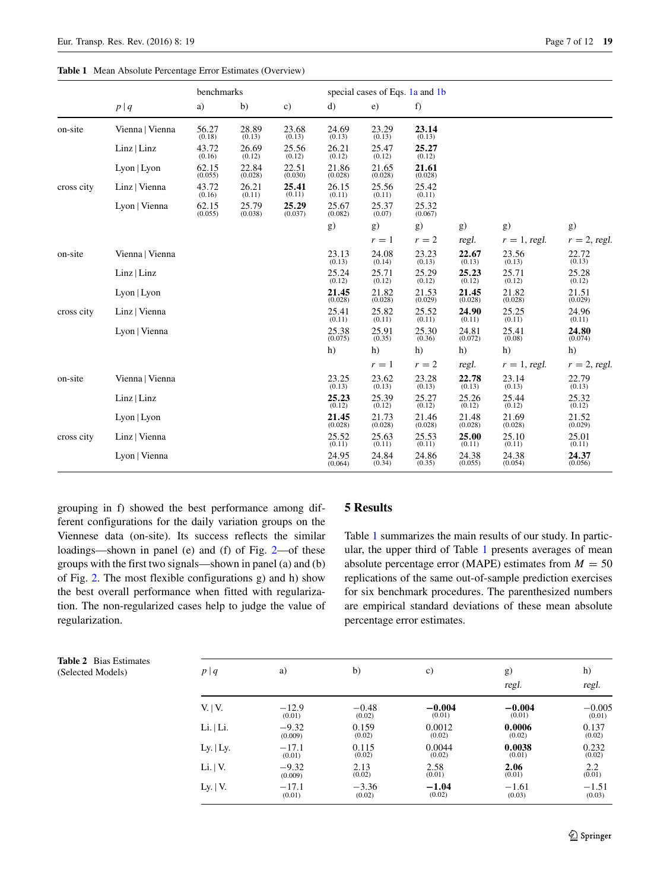#### <span id="page-6-1"></span>**Table 1** Mean Absolute Percentage Error Estimates (Overview)

|            | benchmarks      |                  |                  |                  | special cases of Eqs. 1a and 1b       |                  |                   |                  |                                        |                  |
|------------|-----------------|------------------|------------------|------------------|---------------------------------------|------------------|-------------------|------------------|----------------------------------------|------------------|
|            | $p\mid q$       | a)               | b)               | c)               | d)                                    | e)               | f)                |                  |                                        |                  |
| on-site    | Vienna   Vienna | 56.27<br>(0.18)  | 28.89<br>(0.13)  | 23.68<br>(0.13)  | 24.69<br>(0.13)                       | 23.29<br>(0.13)  | 23.14<br>(0.13)   |                  |                                        |                  |
|            | Linz   Linz     | 43.72<br>(0.16)  | 26.69<br>(0.12)  | 25.56<br>(0.12)  | $\underset{\left(0.12\right)}{26.21}$ | 25.47<br>(0.12)  | 25.27<br>(0.12)   |                  |                                        |                  |
|            | $Lyon$   $Lyon$ | 62.15<br>(0.055) | 22.84<br>(0.028) | 22.51<br>(0.030) | 21.86<br>(0.028)                      | 21.65<br>(0.028) | 21.61<br>(0.028)  |                  |                                        |                  |
| cross city | Linz   Vienna   | 43.72<br>(0.16)  | 26.21<br>(0.11)  | 25.41<br>(0.11)  | 26.15<br>(0.11)                       | 25.56<br>(0.11)  | 25.42<br>(0.11)   |                  |                                        |                  |
|            | Lyon   Vienna   | 62.15<br>(0.055) | 25.79<br>(0.038) | 25.29<br>(0.037) | 25.67<br>(0.082)                      | 25.37<br>(0.07)  | 25.32<br>(0.067)  |                  |                                        |                  |
|            |                 |                  |                  |                  | g)                                    | g)               | g)                | g)               | g)                                     | g)               |
|            |                 |                  |                  |                  |                                       | $r=1$            | $r=2$             | regl.            | $r=1$ , regl.                          | $r = 2$ , regl.  |
| on-site    | Vienna   Vienna |                  |                  |                  | 23.13<br>(0.13)                       | 24.08<br>(0.14)  | $23.23$<br>(0.13) | 22.67<br>(0.13)  | 23.56<br>(0.13)                        | 22.72<br>(0.13)  |
|            | Linz   Linz     |                  |                  |                  | 25.24<br>(0.12)                       | 25.71<br>(0.12)  | 25.29<br>(0.12)   | 25.23<br>(0.12)  | 25.71<br>(0.12)                        | 25.28<br>(0.12)  |
|            | Lyon   Lyon     |                  |                  |                  | 21.45<br>(0.028)                      | 21.82<br>(0.028) | 21.53<br>(0.029)  | 21.45<br>(0.028) | $\underset{\left(0.028\right)}{21.82}$ | 21.51<br>(0.029) |
| cross city | Linz   Vienna   |                  |                  |                  | 25.41<br>(0.11)                       | 25.82<br>(0.11)  | 25.52<br>(0.11)   | 24.90<br>(0.11)  | 25.25<br>(0.11)                        | 24.96<br>(0.11)  |
|            | Lyon   Vienna   |                  |                  |                  | 25.38<br>(0.075)                      | 25.91<br>(0.35)  | 25.30<br>(0.36)   | 24.81<br>(0.072) | 25.41<br>(0.08)                        | 24.80<br>(0.074) |
|            |                 |                  |                  |                  | h)                                    | h)               | h)                | h)               | h)                                     | h)               |
|            |                 |                  |                  |                  |                                       | $r=1$            | $r=2$             | regl.            | $r = 1$ , regl.                        | $r = 2$ , regl.  |
| on-site    | Vienna   Vienna |                  |                  |                  | 23.25<br>(0.13)                       | 23.62<br>(0.13)  | 23.28<br>(0.13)   | 22.78<br>(0.13)  | 23.14<br>(0.13)                        | 22.79<br>(0.13)  |
|            | Linz   Linz     |                  |                  |                  | 25.23<br>(0.12)                       | 25.39<br>(0.12)  | 25.27<br>(0.12)   | 25.26<br>(0.12)  | 25.44<br>(0.12)                        | 25.32<br>(0.12)  |
|            | $Lyon$   $Lyon$ |                  |                  |                  | 21.45<br>(0.028)                      | 21.73<br>(0.028) | 21.46<br>(0.028)  | 21.48<br>(0.028) | 21.69<br>(0.028)                       | 21.52<br>(0.029) |
| cross city | Linz   Vienna   |                  |                  |                  | 25.52<br>(0.11)                       | 25.63<br>(0.11)  | 25.53<br>(0.11)   | 25.00<br>(0.11)  | 25.10<br>(0.11)                        | 25.01<br>(0.11)  |
|            | Lyon   Vienna   |                  |                  |                  | 24.95<br>(0.064)                      | 24.84<br>(0.34)  | 24.86<br>(0.35)   | 24.38<br>(0.055) | 24.38<br>(0.054)                       | 24.37<br>(0.056) |

grouping in f) showed the best performance among different configurations for the daily variation groups on the Viennese data (on-site). Its success reflects the similar loadings—shown in panel (e) and (f) of Fig. [2—](#page-3-0)of these groups with the first two signals—shown in panel (a) and (b) of Fig. [2.](#page-3-0) The most flexible configurations g) and h) show the best overall performance when fitted with regularization. The non-regularized cases help to judge the value of regularization.

## <span id="page-6-0"></span>**5 Results**

Table [1](#page-6-1) summarizes the main results of our study. In particular, the upper third of Table [1](#page-6-1) presents averages of mean absolute percentage error (MAPE) estimates from  $M = 50$ replications of the same out-of-sample prediction exercises for six benchmark procedures. The parenthesized numbers are empirical standard deviations of these mean absolute percentage error estimates.

<span id="page-6-2"></span>

| <b>Table 2</b> Bias Estimates<br>(Selected Models) | p q                  | a)                 | $\mathbf{b}$      | c)                 | g)<br>regl.        | h)<br>regl.        |
|----------------------------------------------------|----------------------|--------------------|-------------------|--------------------|--------------------|--------------------|
|                                                    | V.  V.               | $-12.9$<br>(0.01)  | $-0.48$<br>(0.02) | $-0.004$<br>(0.01) | $-0.004$<br>(0.01) | $-0.005$<br>(0.01) |
|                                                    | $Li.$   $Li.$        | $-9.32$<br>(0.009) | 0.159<br>(0.02)   | 0.0012<br>(0.02)   | 0.0006<br>(0.02)   | 0.137<br>(0.02)    |
|                                                    | Ly. $ $ Ly.          | $-17.1$<br>(0.01)  | 0.115<br>(0.02)   | 0.0044<br>(0.02)   | 0.0038<br>(0.01)   | 0.232<br>(0.02)    |
|                                                    | Li. $ V.$            | $-9.32$<br>(0.009) | 2.13<br>(0.02)    | 2.58<br>(0.01)     | 2.06<br>(0.01)     | 2.2<br>(0.01)      |
|                                                    | Ly. $\vert V. \vert$ | $-17.1$<br>(0.01)  | $-3.36$<br>(0.02) | $-1.04$<br>(0.02)  | $-1.61$<br>(0.03)  | $-1.51$<br>(0.03)  |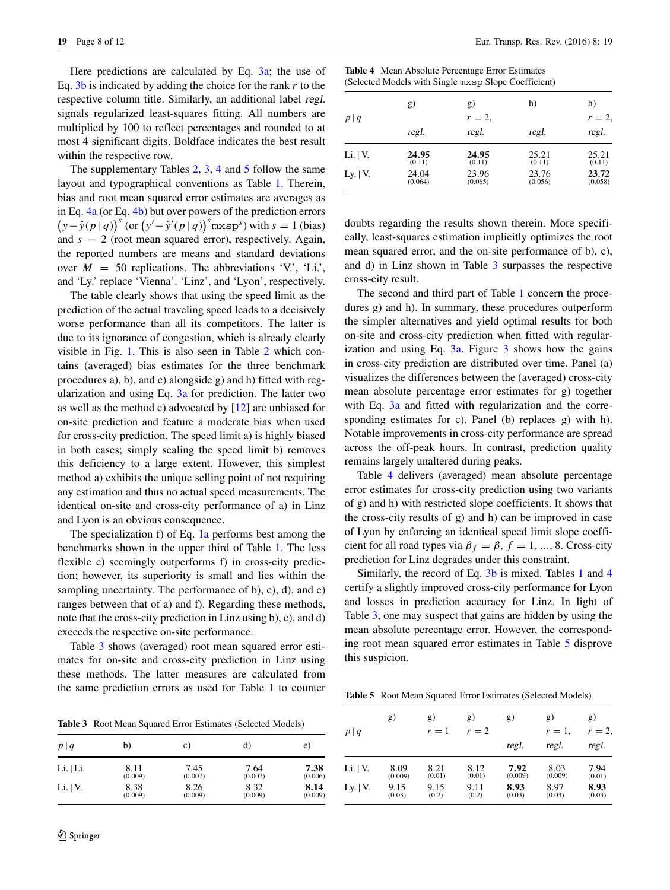Here predictions are calculated by Eq. [3a;](#page-4-2) the use of Eq. [3b](#page-4-2) is indicated by adding the choice for the rank *r* to the respective column title. Similarly, an additional label regl. signals regularized least-squares fitting. All numbers are multiplied by 100 to reflect percentages and rounded to at most 4 significant digits. Boldface indicates the best result within the respective row.

The supplementary Tables [2,](#page-6-2) [3,](#page-7-0) [4](#page-7-1) and [5](#page-7-2) follow the same layout and typographical conventions as Table [1.](#page-6-1) Therein, bias and root mean squared error estimates are averages as in Eq. [4a](#page-5-0) (or Eq. [4b\)](#page-5-0) but over powers of the prediction errors  $(y - \hat{y}(p | q))^s$  (or  $(y' - \hat{y}'(p | q))^s$  mxsp<sup>*s*</sup>) with *s* = 1 (bias) and *s* = 2 (root mean squared error), respectively. Again, the reported numbers are means and standard deviations over  $M = 50$  replications. The abbreviations 'V.', 'Li.', and 'Ly.' replace 'Vienna'. 'Linz', and 'Lyon', respectively.

The table clearly shows that using the speed limit as the prediction of the actual traveling speed leads to a decisively worse performance than all its competitors. The latter is due to its ignorance of congestion, which is already clearly visible in Fig. [1.](#page-2-0) This is also seen in Table [2](#page-6-2) which contains (averaged) bias estimates for the three benchmark procedures a), b), and c) alongside g) and h) fitted with regularization and using Eq.  $3a$  for prediction. The latter two as well as the method c) advocated by [\[12\]](#page-11-8) are unbiased for on-site prediction and feature a moderate bias when used for cross-city prediction. The speed limit a) is highly biased in both cases; simply scaling the speed limit b) removes this deficiency to a large extent. However, this simplest method a) exhibits the unique selling point of not requiring any estimation and thus no actual speed measurements. The identical on-site and cross-city performance of a) in Linz and Lyon is an obvious consequence.

The specialization f) of Eq. [1a](#page-4-2) performs best among the benchmarks shown in the upper third of Table [1.](#page-6-1) The less flexible c) seemingly outperforms f) in cross-city prediction; however, its superiority is small and lies within the sampling uncertainty. The performance of b), c), d), and e) ranges between that of a) and f). Regarding these methods, note that the cross-city prediction in Linz using b), c), and d) exceeds the respective on-site performance.

Table [3](#page-7-0) shows (averaged) root mean squared error estimates for on-site and cross-city prediction in Linz using these methods. The latter measures are calculated from the same prediction errors as used for Table [1](#page-6-1) to counter

<span id="page-7-0"></span>**Table 3** Root Mean Squared Error Estimates (Selected Models)

| p q       | b)      | C)      | d)      | e)      |
|-----------|---------|---------|---------|---------|
| Li.   Li. | 8.11    | 7.45    | 7.64    | 7.38    |
|           | (0.009) | (0.007) | (0.007) | (0.006) |
| Li.  V.   | 8.38    | 8.26    | 8.32    | 8.14    |
|           | (0.009) | (0.009) | (0.009) | (0.009) |

<span id="page-7-1"></span>

| <b>Table 4</b> Mean Absolute Percentage Error Estimates |  |
|---------------------------------------------------------|--|
| (Selected Models with Single mxsp Slope Coefficient)    |  |

|               | g)               | g)               | h)               | h)               |
|---------------|------------------|------------------|------------------|------------------|
| p q           |                  | $r=2$ ,          |                  | $r=2$            |
|               | regl.            | regl.            | regl.            | regl.            |
| Li. $ V.$     | 24.95<br>(0.11)  | 24.95<br>(0.11)  | 25.21<br>(0.11)  | 25.21<br>(0.11)  |
| Ly. $ V_{.} $ | 24.04<br>(0.064) | 23.96<br>(0.065) | 23.76<br>(0.056) | 23.72<br>(0.058) |

doubts regarding the results shown therein. More specifically, least-squares estimation implicitly optimizes the root mean squared error, and the on-site performance of b), c), and d) in Linz shown in Table [3](#page-7-0) surpasses the respective cross-city result.

The second and third part of Table [1](#page-6-1) concern the procedures g) and h). In summary, these procedures outperform the simpler alternatives and yield optimal results for both on-site and cross-city prediction when fitted with regularization and using Eq.  $3a$  $3a$ . Figure  $3$  shows how the gains in cross-city prediction are distributed over time. Panel (a) visualizes the differences between the (averaged) cross-city mean absolute percentage error estimates for g) together with Eq. [3a](#page-4-2) and fitted with regularization and the corresponding estimates for c). Panel (b) replaces g) with h). Notable improvements in cross-city performance are spread across the off-peak hours. In contrast, prediction quality remains largely unaltered during peaks.

Table [4](#page-7-1) delivers (averaged) mean absolute percentage error estimates for cross-city prediction using two variants of g) and h) with restricted slope coefficients. It shows that the cross-city results of g) and h) can be improved in case of Lyon by enforcing an identical speed limit slope coefficient for all road types via  $\beta_f = \beta$ ,  $f = 1, ..., 8$ . Cross-city prediction for Linz degrades under this constraint.

Similarly, the record of Eq. [3b](#page-4-2) is mixed. Tables [1](#page-6-1) and [4](#page-7-1) certify a slightly improved cross-city performance for Lyon and losses in prediction accuracy for Linz. In light of Table [3,](#page-7-0) one may suspect that gains are hidden by using the mean absolute percentage error. However, the corresponding root mean squared error estimates in Table [5](#page-7-2) disprove this suspicion.

<span id="page-7-2"></span>**Table 5** Root Mean Squared Error Estimates (Selected Models)

| p q        | g)      | g)<br>$r=1$ | g)<br>$r=2$ | g)      | g)<br>$r=1$ , | g)<br>$r=2$ . |
|------------|---------|-------------|-------------|---------|---------------|---------------|
|            |         |             |             | regl.   | regl.         | regl.         |
| Li. $ V.$  | 8.09    | 8.21        | 8.12        | 7.92    | 8.03          | 7.94          |
|            | (0.009) | (0.01)      | (0.01)      | (0.009) | (0.009)       | (0.01)        |
| Ly. $ V$ . | 9.15    | 9.15        | 9.11        | 8.93    | 8.97          | 8.93          |
|            | (0.03)  | (0.2)       | (0.2)       | (0.03)  | (0.03)        | (0.03)        |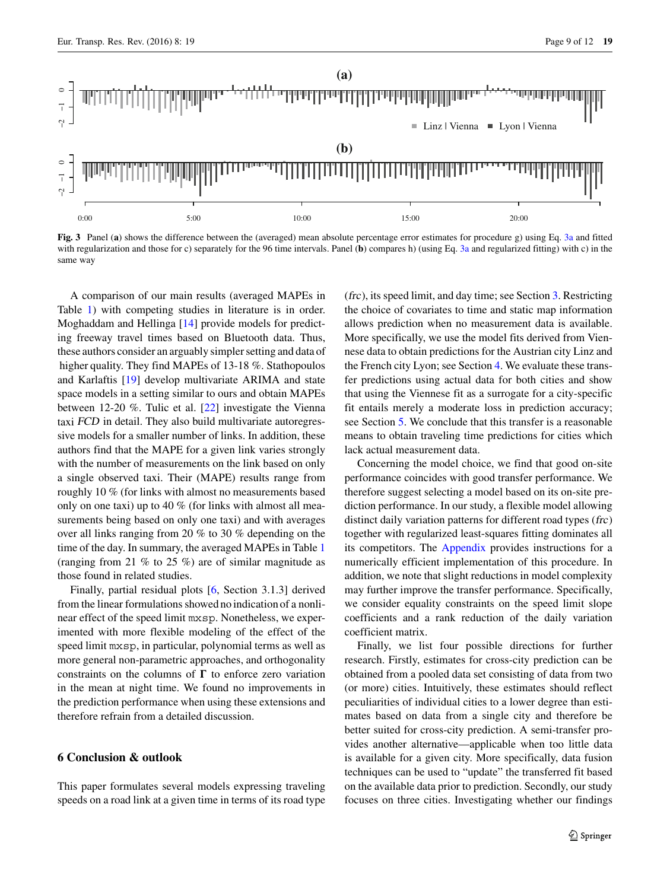<span id="page-8-1"></span>

**Fig. 3** Panel (**a**) shows the difference between the (averaged) mean absolute percentage error estimates for procedure g) using Eq. [3a](#page-4-2) and fitted with regularization and those for c) separately for the 96 time intervals. Panel (**b**) compares h) (using Eq. [3a](#page-4-2) and regularized fitting) with c) in the same way

A comparison of our main results (averaged MAPEs in Table [1\)](#page-6-1) with competing studies in literature is in order. Moghaddam and Hellinga [\[14\]](#page-11-9) provide models for predicting freeway travel times based on Bluetooth data. Thus, these authors consider an arguably simpler setting and data of higher quality. They find MAPEs of 13-18 %. Stathopoulos and Karlaftis [\[19\]](#page-11-10) develop multivariate ARIMA and state space models in a setting similar to ours and obtain MAPEs between 12-20 %. Tulic et al. [\[22\]](#page-11-11) investigate the Vienna taxi FCD in detail. They also build multivariate autoregressive models for a smaller number of links. In addition, these authors find that the MAPE for a given link varies strongly with the number of measurements on the link based on only a single observed taxi. Their (MAPE) results range from roughly 10 % (for links with almost no measurements based only on one taxi) up to 40 % (for links with almost all measurements being based on only one taxi) and with averages over all links ranging from 20 % to 30 % depending on the time of the day. In summary, the averaged MAPEs in Table [1](#page-6-1) (ranging from 21 % to 25 %) are of similar magnitude as those found in related studies.

Finally, partial residual plots [\[6,](#page-10-9) Section 3.1.3] derived from the linear formulations showed no indication of a nonlinear effect of the speed limit mxsp. Nonetheless, we experimented with more flexible modeling of the effect of the speed limit mxsp, in particular, polynomial terms as well as more general non-parametric approaches, and orthogonality constraints on the columns of  $\Gamma$  to enforce zero variation in the mean at night time. We found no improvements in the prediction performance when using these extensions and therefore refrain from a detailed discussion.

## <span id="page-8-0"></span>**6 Conclusion & outlook**

This paper formulates several models expressing traveling speeds on a road link at a given time in terms of its road type (frc), its speed limit, and day time; see Section [3.](#page-4-0) Restricting the choice of covariates to time and static map information allows prediction when no measurement data is available. More specifically, we use the model fits derived from Viennese data to obtain predictions for the Austrian city Linz and the French city Lyon; see Section [4.](#page-4-1) We evaluate these transfer predictions using actual data for both cities and show that using the Viennese fit as a surrogate for a city-specific fit entails merely a moderate loss in prediction accuracy; see Section [5.](#page-6-0) We conclude that this transfer is a reasonable means to obtain traveling time predictions for cities which lack actual measurement data.

Concerning the model choice, we find that good on-site performance coincides with good transfer performance. We therefore suggest selecting a model based on its on-site prediction performance. In our study, a flexible model allowing distinct daily variation patterns for different road types (frc) together with regularized least-squares fitting dominates all its competitors. The [Appendix](#page-9-0) provides instructions for a numerically efficient implementation of this procedure. In addition, we note that slight reductions in model complexity may further improve the transfer performance. Specifically, we consider equality constraints on the speed limit slope coefficients and a rank reduction of the daily variation coefficient matrix.

Finally, we list four possible directions for further research. Firstly, estimates for cross-city prediction can be obtained from a pooled data set consisting of data from two (or more) cities. Intuitively, these estimates should reflect peculiarities of individual cities to a lower degree than estimates based on data from a single city and therefore be better suited for cross-city prediction. A semi-transfer provides another alternative—applicable when too little data is available for a given city. More specifically, data fusion techniques can be used to "update" the transferred fit based on the available data prior to prediction. Secondly, our study focuses on three cities. Investigating whether our findings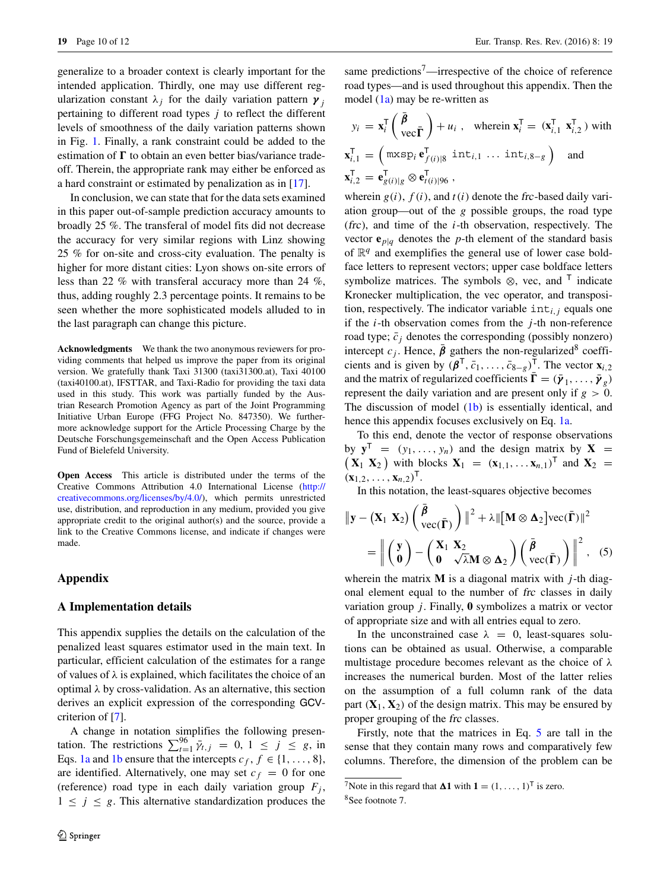generalize to a broader context is clearly important for the intended application. Thirdly, one may use different regularization constant  $\lambda_i$  for the daily variation pattern  $\gamma_i$ pertaining to different road types *j* to reflect the different levels of smoothness of the daily variation patterns shown in Fig. [1.](#page-2-0) Finally, a rank constraint could be added to the estimation of  $\Gamma$  to obtain an even better bias/variance tradeoff. Therein, the appropriate rank may either be enforced as a hard constraint or estimated by penalization as in [\[17\]](#page-11-12).

In conclusion, we can state that for the data sets examined in this paper out-of-sample prediction accuracy amounts to broadly 25 %. The transferal of model fits did not decrease the accuracy for very similar regions with Linz showing 25 % for on-site and cross-city evaluation. The penalty is higher for more distant cities: Lyon shows on-site errors of less than 22 % with transferal accuracy more than 24 %, thus, adding roughly 2.3 percentage points. It remains to be seen whether the more sophisticated models alluded to in the last paragraph can change this picture.

**Acknowledgments** We thank the two anonymous reviewers for providing comments that helped us improve the paper from its original version. We gratefully thank Taxi 31300 (taxi31300.at), Taxi 40100 (taxi40100.at), IFSTTAR, and Taxi-Radio for providing the taxi data used in this study. This work was partially funded by the Austrian Research Promotion Agency as part of the Joint Programming Initiative Urban Europe (FFG Project No. 847350). We furthermore acknowledge support for the Article Processing Charge by the Deutsche Forschungsgemeinschaft and the Open Access Publication Fund of Bielefeld University.

**Open Access** This article is distributed under the terms of the Creative Commons Attribution 4.0 International License [\(http://](http://creativecommons.org/licenses/by/4.0/) [creativecommons.org/licenses/by/4.0/\)](http://creativecommons.org/licenses/by/4.0/), which permits unrestricted use, distribution, and reproduction in any medium, provided you give appropriate credit to the original author(s) and the source, provide a link to the Creative Commons license, and indicate if changes were made.

## <span id="page-9-0"></span>**Appendix**

#### **A Implementation details**

This appendix supplies the details on the calculation of the penalized least squares estimator used in the main text. In particular, efficient calculation of the estimates for a range of values of  $\lambda$  is explained, which facilitates the choice of an optimal *λ* by cross-validation. As an alternative, this section derives an explicit expression of the corresponding GCVcriterion of [\[7\]](#page-10-10).

A change in notation simplifies the following presentation. The restrictions  $\sum_{t=1}^{96} \bar{\gamma}_{t,j} = 0, 1 \le j \le g$ , in Eqs. [1a](#page-4-2) and [1b](#page-4-2) ensure that the intercepts  $c_f$ ,  $f \in \{1, ..., 8\}$ , are identified. Alternatively, one may set  $c_f = 0$  for one (reference) road type in each daily variation group  $F_i$ ,  $1 \leq j \leq g$ . This alternative standardization produces the

same predictions<sup>7</sup>—irrespective of the choice of reference road types—and is used throughout this appendix. Then the model  $(1a)$  may be re-written as

$$
y_i = \mathbf{x}_i^{\mathsf{T}} \left( \frac{\bar{\beta}}{\text{vec} \mathbf{\Gamma}} \right) + u_i, \text{ where } \mathbf{x}_i^{\mathsf{T}} = (\mathbf{x}_{i,1}^{\mathsf{T}} \ \mathbf{x}_{i,2}^{\mathsf{T}}) \text{ with}
$$
\n
$$
\mathbf{x}_{i,1}^{\mathsf{T}} = \left( \text{maxsp}_i \ \mathbf{e}_{f(i)|8}^{\mathsf{T}} \text{ int}_{i,1} \dots \text{ int}_{i,8-g} \right) \text{ and}
$$
\n
$$
\mathbf{x}_{i,2}^{\mathsf{T}} = \mathbf{e}_{g(i)|g}^{\mathsf{T}} \otimes \mathbf{e}_{t(i)|96}^{\mathsf{T}},
$$

wherein  $g(i)$ ,  $f(i)$ , and  $t(i)$  denote the frc-based daily variation group—out of the *g* possible groups, the road type (frc), and time of the *i*-th observation, respectively. The vector  $e_{p|q}$  denotes the *p*-th element of the standard basis of  $\mathbb{R}^q$  and exemplifies the general use of lower case boldface letters to represent vectors; upper case boldface letters symbolize matrices. The symbols  $\otimes$ , vec, and <sup>T</sup> indicate Kronecker multiplication, the vec operator, and transposition, respectively. The indicator variable  $int_{i,j}$  equals one if the *i*-th observation comes from the *j* -th non-reference road type;  $\bar{c}_i$  denotes the corresponding (possibly nonzero) intercept  $c_j$ . Hence,  $\bar{\beta}$  gathers the non-regularized<sup>8</sup> coefficients and is given by  $({\boldsymbol{\beta}}^{\mathsf{T}}, \bar{c}_1, \ldots, \bar{c}_{8-g})^{\mathsf{T}}$ . The vector  $\mathbf{x}_{i,2}$ and the matrix of regularized coefficients  $\mathbf{\Gamma} = (\bar{\mathbf{y}}_1, \dots, \bar{\mathbf{y}}_g)$ represent the daily variation and are present only if *g >* 0. The discussion of model  $(1b)$  is essentially identical, and hence this appendix focuses exclusively on Eq. [1a.](#page-4-2)

To this end, denote the vector of response observations by  $\mathbf{y}^T = (y_1, \ldots, y_n)$  and the design matrix by  $\mathbf{X} = (\mathbf{X}_1, \mathbf{X}_2)$  with plocks  $\mathbf{X}_1 = (\mathbf{x}_{1,1}, \ldots, \mathbf{x}_{n,1})^T$  and  $\mathbf{X}_2 =$  $(\mathbf{x}_{1,2},\ldots,\mathbf{x}_{n,2})^{\mathsf{T}}$ .

In this notation, the least-squares objective becomes

<span id="page-9-3"></span>
$$
\|\mathbf{y} - (\mathbf{X}_1 \ \mathbf{X}_2) \begin{pmatrix} \bar{\boldsymbol{\beta}} \\ \text{vec}(\bar{\boldsymbol{\Gamma}}) \end{pmatrix}\|^2 + \lambda \|[\mathbf{M} \otimes \mathbf{\Delta}_2] \text{vec}(\bar{\boldsymbol{\Gamma}})\|^2
$$

$$
= \left\| \begin{pmatrix} \mathbf{y} \\ \mathbf{0} \end{pmatrix} - \begin{pmatrix} \mathbf{X}_1 \ \mathbf{X}_2 \\ \mathbf{0} \end{pmatrix} \overline{\lambda} \mathbf{M} \otimes \mathbf{\Delta}_2 \end{pmatrix} \begin{pmatrix} \bar{\boldsymbol{\beta}} \\ \text{vec}(\bar{\boldsymbol{\Gamma}}) \end{pmatrix} \right\|^2, \quad (5)
$$

wherein the matrix **M** is a diagonal matrix with *j* -th diagonal element equal to the number of frc classes in daily variation group  $j$ . Finally,  $\mathbf{0}$  symbolizes a matrix or vector of appropriate size and with all entries equal to zero.

In the unconstrained case  $\lambda = 0$ , least-squares solutions can be obtained as usual. Otherwise, a comparable multistage procedure becomes relevant as the choice of *λ* increases the numerical burden. Most of the latter relies on the assumption of a full column rank of the data part  $(X_1, X_2)$  of the design matrix. This may be ensured by proper grouping of the frc classes.

Firstly, note that the matrices in Eq. [5](#page-9-3) are tall in the sense that they contain many rows and comparatively few columns. Therefore, the dimension of the problem can be

<sup>&</sup>lt;sup>7</sup>Note in this regard that  $\Delta 1$  with  $1 = (1, \ldots, 1)$ <sup>T</sup> is zero.

<span id="page-9-2"></span><span id="page-9-1"></span><sup>8</sup>See footnote 7.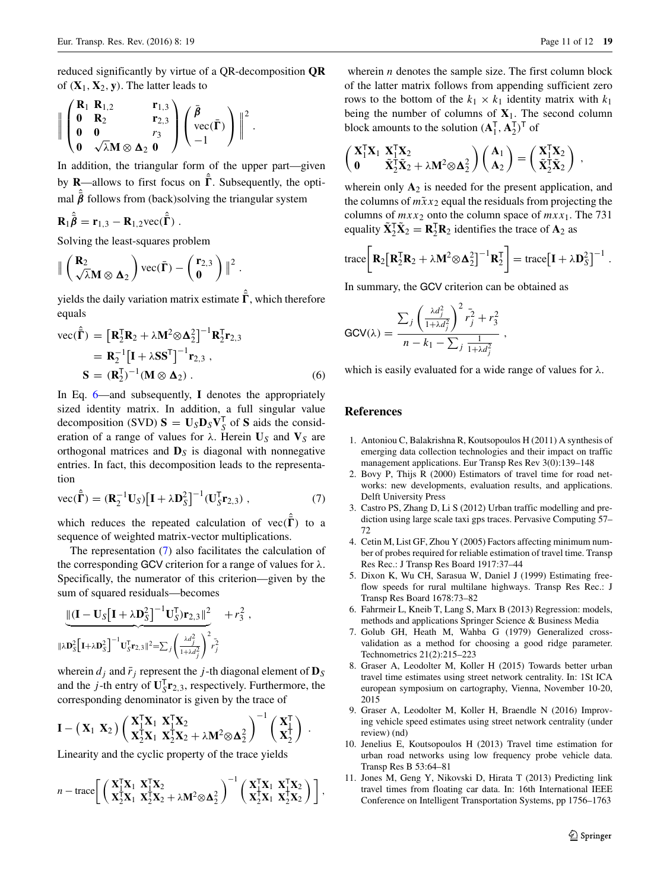reduced significantly by virtue of a QR-decomposition **QR** of  $(X_1, X_2, y)$ . The latter leads to

$$
\left\|\begin{pmatrix}\n\mathbf{R}_1 & \mathbf{R}_{1,2} & \mathbf{r}_{1,3} \\
\mathbf{0} & \mathbf{R}_2 & \mathbf{r}_{2,3} \\
\mathbf{0} & \mathbf{0} & r_3 \\
\mathbf{0} & \sqrt{\lambda}\mathbf{M} \otimes \mathbf{\Delta}_2 & \mathbf{0}\n\end{pmatrix}\begin{pmatrix}\n\bar{\beta} \\
\text{vec}(\bar{\Gamma}) \\
-1\n\end{pmatrix}\right\|^2.
$$

In addition, the triangular form of the upper part—given by **R**—allows to first focus on  $\bar{\Gamma}$ . Subsequently, the optimal  $\bar{\beta}$  follows from (back)solving the triangular system

$$
\mathbf{R}_1 \hat{\vec{\boldsymbol{\beta}}} = \mathbf{r}_{1,3} - \mathbf{R}_{1,2} \text{vec}(\hat{\vec{\boldsymbol{\Gamma}}}) .
$$

Solving the least-squares problem

$$
\|\begin{pmatrix} \mathbf{R}_2 \\ \sqrt{\lambda} \mathbf{M} \otimes \mathbf{\Delta}_2 \end{pmatrix} \text{vec}(\bar{\Gamma}) - \begin{pmatrix} \mathbf{r}_{2,3} \\ \mathbf{0} \end{pmatrix} \|^2.
$$

yields the daily variation matrix estimate  $\bar{\Gamma}$ , which therefore equals

<span id="page-10-11"></span>
$$
\begin{aligned} \text{vec}(\hat{\mathbf{\Gamma}}) &= \left[\mathbf{R}_2^{\mathsf{T}} \mathbf{R}_2 + \lambda \mathbf{M}^2 \otimes \mathbf{\Delta}_2^2\right]^{-1} \mathbf{R}_2^{\mathsf{T}} \mathbf{r}_{2,3} \\ &= \mathbf{R}_2^{-1} \left[\mathbf{I} + \lambda \mathbf{S} \mathbf{S}^{\mathsf{T}}\right]^{-1} \mathbf{r}_{2,3} \\ \mathbf{S} &= (\mathbf{R}_2^{\mathsf{T}})^{-1} (\mathbf{M} \otimes \mathbf{\Delta}_2) \,. \end{aligned} \tag{6}
$$

In Eq. [6—](#page-10-11)and subsequently, **I** denotes the appropriately sized identity matrix. In addition, a full singular value decomposition (SVD)  $S = U_S D_S V_S^T$  of S aids the consideration of a range of values for  $\lambda$ . Herein  $U_S$  and  $V_S$  are orthogonal matrices and **D***<sup>S</sup>* is diagonal with nonnegative entries. In fact, this decomposition leads to the representation

<span id="page-10-12"></span>
$$
\text{vec}(\hat{\mathbf{\Gamma}}) = (\mathbf{R}_2^{-1} \mathbf{U}_S) \left[ \mathbf{I} + \lambda \mathbf{D}_S^2 \right]^{-1} (\mathbf{U}_S^{\mathsf{T}} \mathbf{r}_{2,3}) \,, \tag{7}
$$

which reduces the repeated calculation of  $vec(\{\Gamma})$  to a sequence of weighted matrix-vector multiplications.

The representation [\(7\)](#page-10-12) also facilitates the calculation of the corresponding GCV criterion for a range of values for *λ*. Specifically, the numerator of this criterion—given by the sum of squared residuals—becomes

$$
\frac{\left\| (\mathbf{I} - \mathbf{U}_{S} [\mathbf{I} + \lambda \mathbf{D}_{S}^{2}]^{-1} \mathbf{U}_{S}^{T}) \mathbf{r}_{2,3} \|^{2}}{\|\lambda \mathbf{D}_{S}^{2} [\mathbf{I} + \lambda \mathbf{D}_{S}^{2}]^{-1} \mathbf{U}_{S}^{T} \mathbf{r}_{2,3} \|^{2} = \sum_{j} \left( \frac{\lambda d_{j}^{2}}{1 + \lambda d_{j}^{2}} \right)^{2} r_{j}^{2}}
$$

wherein  $d_j$  and  $\bar{r}_j$  represent the *j*-th diagonal element of  $\mathbf{D}_S$ and the *j*-th entry of  $\mathbf{U}_{S}^{T}\mathbf{r}_{2,3}$ , respectively. Furthermore, the corresponding denominator is given by the trace of

$$
\mathbf{I} - (\mathbf{X}_1 \ \mathbf{X}_2) \left( \frac{\mathbf{X}_1^T \mathbf{X}_1}{\mathbf{X}_2^T \mathbf{X}_1} \ \mathbf{X}_2^T \mathbf{X}_2 + \lambda \mathbf{M}^2 \otimes \mathbf{\Delta}_2^2 \right)^{-1} \left( \frac{\mathbf{X}_1^T}{\mathbf{X}_2^T} \right) .
$$

Linearity and the cyclic property of the trace yields

$$
n-\text{trace}\bigg[\left(\begin{array}{c} \mathbf{X}_1^T\mathbf{X}_1 & \mathbf{X}_1^T\mathbf{X}_2\\ \mathbf{X}_2^T\mathbf{X}_1 & \mathbf{X}_2^T\mathbf{X}_2 + \lambda M^2\otimes \mathbf{\Delta}_2^2 \end{array}\right)^{-1} \left(\begin{array}{c} \mathbf{X}_1^T\mathbf{X}_1 & \mathbf{X}_1^T\mathbf{X}_2\\ \mathbf{X}_2^T\mathbf{X}_1 & \mathbf{X}_2^T\mathbf{X}_2 \end{array}\right)\bigg],
$$

wherein *n* denotes the sample size. The first column block of the latter matrix follows from appending sufficient zero rows to the bottom of the  $k_1 \times k_1$  identity matrix with  $k_1$ being the number of columns of  $X_1$ . The second column block amounts to the solution  $(A_1^T, A_2^T)^T$  of

$$
\begin{pmatrix} X_1^T X_1 & X_1^T X_2 \\ 0 & \tilde X_2^T \tilde X_2 + \lambda M^2{\otimes} \Delta_2^2 \end{pmatrix} \begin{pmatrix} A_1 \\ A_2 \end{pmatrix} = \begin{pmatrix} X_1^T X_2 \\ \tilde X_2^T \tilde X_2 \end{pmatrix} \,,
$$

wherein only  $A_2$  is needed for the present application, and the columns of  $m\tilde{x}x_2$  equal the residuals from projecting the columns of  $mxx_2$  onto the column space of  $mxx_1$ . The 731 equality  $\tilde{\mathbf{X}}_2^T \tilde{\mathbf{X}}_2 = \mathbf{R}_2^T \mathbf{R}_2$  identifies the trace of  $\mathbf{A}_2$  as

$$
\operatorname{trace}\!\left[\mathbf{R}_2\!\left[\mathbf{R}_2^{\mathsf{T}}\mathbf{R}_2 + \lambda \mathbf{M}^2 \!\otimes\! \mathbf{\Delta}_2^2\right]^{-1}\mathbf{R}_2^{\mathsf{T}}\right] = \operatorname{trace}\!\left[\mathbf{I} + \lambda \mathbf{D}_S^2\right]^{-1}.
$$

In summary, the GCV criterion can be obtained as

$$
GCV(\lambda) = \frac{\sum_{j} \left(\frac{\lambda d_j^2}{1 + \lambda d_j^2}\right)^2 \bar{r}_j^2 + r_3^2}{n - k_1 - \sum_{j} \frac{1}{1 + \lambda d_j^2}},
$$

which is easily evaluated for a wide range of values for *λ*.

## **References**

- <span id="page-10-0"></span>1. Antoniou C, Balakrishna R, Koutsopoulos H (2011) A synthesis of emerging data collection technologies and their impact on traffic management applications. Eur Transp Res Rev 3(0):139–148
- <span id="page-10-4"></span>2. Bovy P, Thijs R (2000) Estimators of travel time for road networks: new developments, evaluation results, and applications. Delft University Press
- <span id="page-10-1"></span>3. Castro PS, Zhang D, Li S (2012) Urban traffic modelling and prediction using large scale taxi gps traces. Pervasive Computing 57– 72
- <span id="page-10-2"></span>4. Cetin M, List GF, Zhou Y (2005) Factors affecting minimum number of probes required for reliable estimation of travel time. Transp Res Rec.: J Transp Res Board 1917:37–44
- <span id="page-10-6"></span>5. Dixon K, Wu CH, Sarasua W, Daniel J (1999) Estimating freeflow speeds for rural multilane highways. Transp Res Rec.: J Transp Res Board 1678:73–82
- <span id="page-10-9"></span>6. Fahrmeir L, Kneib T, Lang S, Marx B (2013) Regression: models, methods and applications Springer Science & Business Media
- <span id="page-10-10"></span>7. Golub GH, Heath M, Wahba G (1979) Generalized crossvalidation as a method for choosing a good ridge parameter. Technometrics 21(2):215–223
- <span id="page-10-7"></span>8. Graser A, Leodolter M, Koller H (2015) Towards better urban travel time estimates using street network centrality. In: 1St ICA european symposium on cartography, Vienna, November 10-20, 2015
- <span id="page-10-8"></span>9. Graser A, Leodolter M, Koller H, Braendle N (2016) Improving vehicle speed estimates using street network centrality (under review) (nd)
- <span id="page-10-3"></span>10. Jenelius E, Koutsopoulos H (2013) Travel time estimation for urban road networks using low frequency probe vehicle data. Transp Res B 53:64–81
- <span id="page-10-5"></span>11. Jones M, Geng Y, Nikovski D, Hirata T (2013) Predicting link travel times from floating car data. In: 16th International IEEE Conference on Intelligent Transportation Systems, pp 1756–1763